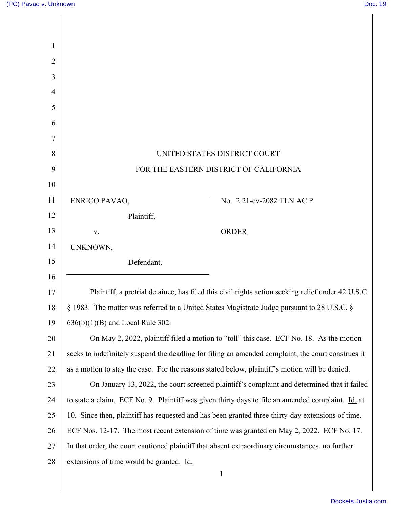Ш

| 1              |                                                                                                    |                           |
|----------------|----------------------------------------------------------------------------------------------------|---------------------------|
| $\overline{2}$ |                                                                                                    |                           |
| 3              |                                                                                                    |                           |
| $\overline{4}$ |                                                                                                    |                           |
| 5              |                                                                                                    |                           |
| 6              |                                                                                                    |                           |
| 7              |                                                                                                    |                           |
| 8              | UNITED STATES DISTRICT COURT                                                                       |                           |
| 9              | FOR THE EASTERN DISTRICT OF CALIFORNIA                                                             |                           |
| 10             |                                                                                                    |                           |
| 11             | <b>ENRICO PAVAO,</b>                                                                               | No. 2:21-cv-2082 TLN AC P |
| 12             | Plaintiff,                                                                                         |                           |
| 13             | V.                                                                                                 | <b>ORDER</b>              |
| 14             | UNKNOWN,                                                                                           |                           |
| 15             | Defendant.                                                                                         |                           |
| 16             |                                                                                                    |                           |
| 17             | Plaintiff, a pretrial detainee, has filed this civil rights action seeking relief under 42 U.S.C.  |                           |
| 18             | § 1983. The matter was referred to a United States Magistrate Judge pursuant to 28 U.S.C. §        |                           |
| 19             | $636(b)(1)(B)$ and Local Rule 302.                                                                 |                           |
| 20             | On May 2, 2022, plaintiff filed a motion to "toll" this case. ECF No. 18. As the motion            |                           |
| 21             | seeks to indefinitely suspend the deadline for filing an amended complaint, the court construes it |                           |
| 22             | as a motion to stay the case. For the reasons stated below, plaintiff's motion will be denied.     |                           |
| 23             | On January 13, 2022, the court screened plaintiff's complaint and determined that it failed        |                           |
| 24             | to state a claim. ECF No. 9. Plaintiff was given thirty days to file an amended complaint. Id. at  |                           |
| 25             | 10. Since then, plaintiff has requested and has been granted three thirty-day extensions of time.  |                           |
| 26             | ECF Nos. 12-17. The most recent extension of time was granted on May 2, 2022. ECF No. 17.          |                           |
| 27             | In that order, the court cautioned plaintiff that absent extraordinary circumstances, no further   |                           |
| 28             | extensions of time would be granted. Id.                                                           |                           |
|                |                                                                                                    | 1                         |